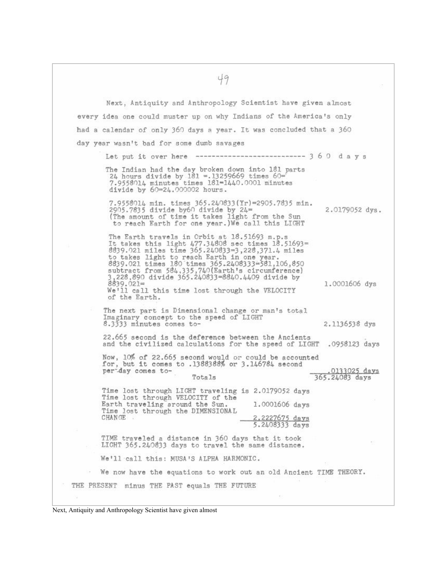Next, Antiquity and Anthropology Scientist have given almost every idea one could muster up on why Indians of the America's only had a calendar of only 360 days a year. It was concluded that a 360 day year wasn't bad for some dumb savages Let put it over here  $\frac{1}{2}$  =  $\frac{1}{2}$  =  $\frac{1}{2}$  =  $\frac{1}{2}$  =  $\frac{1}{2}$  =  $\frac{1}{2}$  =  $\frac{1}{2}$  =  $\frac{1}{2}$  =  $\frac{1}{2}$  =  $\frac{1}{2}$  =  $\frac{1}{2}$  =  $\frac{1}{2}$  =  $\frac{1}{2}$  =  $\frac{1}{2}$  =  $\frac{1}{2}$  =  $\frac{1}{2}$  =  $\frac{1}{2}$ The Indian had the day broken down into 181 parts 24 hours divide by 181 = 13259669 times 60=<br>7.9558014 minutes times 181=1440.0001 minutes divide by 60=24.000002 hours. 7.9558014 min. times 365.240833(Yr)=2905.7835 min. 2905.7835 divide by60 divide by  $24 =$ 2.0179052 dys. The amount of time it takes light from the Sun<br>to reach Earth for one year.)We call this LIGHT The Earth travels in Orbit at 18.51693 m.p.s It takes this light 477.34808 sec times 18.51693=<br>8839.021 miles time 365.240833=3,228,371.4 miles<br>to takes light to reach Earth in one year.<br>8839.021 times 180 times 365.2408333=581,106,850 subtract from 584.335.740(Earth's circumference)<br>3,228.890 divide 365.240833=8840.4409 divide by  $8839.021=$ 1.0001606 dys We'll call this time lost through the VELOCITY of the Earth. The next part is Dimensional change or man's total Imaginary concept to the speed of LIGHT 8.3333 minutes comes to-2.1136538 dys 22.665 second is the deference between the Ancients and the civilized calculations for the speed of LIGHT .0958123 days Now, 10% of 22.665 second would or could be accounted for, but it comes to .1388388% or 3.146784 second .0133025 days<br>365.24083 days per day comes to-Totals Time lost through LIGHT traveling is 2.0179052 days Time lost through VELOCITY of the Earth traveling around the Sun. 1.0001606 days Time lost through the DIMENSIONAL CHANGE 2.2227675 days 5.2408333 days TIME traveled a distance in 360 days that it took LIGHT 365.240833 days to travel the same distance. We'll call this: MUSA'S ALPHA HARMONIC. We now have the equations to work out an old Ancient TIME THEORY. THE PRESENT minus THE PAST equals THE FUTURE

Next, Antiquity and Anthropology Scientist have given almost

49